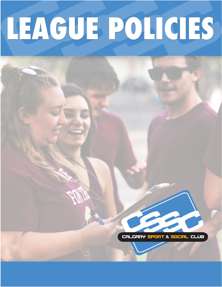# LEAGUE POLICIES

CALGARY SPORT & SOCIAL CLUB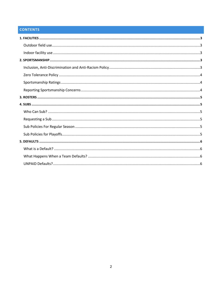# **CONTENTS**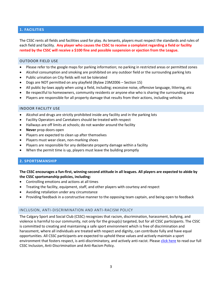# <span id="page-2-0"></span>**1. FACILITIES**

The CSSC rents all fields and facilities used for play. As tenants, players must respect the standards and rules of each field and facility. **Any player who causes the CSSC to receive a complaint regarding a field or facility rented by the CSSC will receive a \$100 fine and possible suspension or ejection from the League.**

# <span id="page-2-1"></span>OUTDOOR FIELD USE

- Please refer to the google maps for parking information; no parking in restricted areas or permitted zones
- Alcohol consumption and smoking are prohibited on any outdoor field or the surrounding parking lots
- Public urination on City fields will not be tolerated
- Dogs are NOT permitted on any playfield (Bylaw 23M2006 Section 15)
- All public by-laws apply when using a field, including; excessive noise, offensive language, littering, etc
- Be respectful to homeowners, community residents or anyone else who is sharing the surrounding area
- Players are responsible for all property damage that results from their actions, including vehicles

### <span id="page-2-2"></span>INDOOR FACILITY USE

- Alcohol and drugs are strictly prohibited inside any facility and in the parking lots
- Facility Operators and Caretakers should be treated with respect
- Hallways are off limits at schools; do not wander around the facility
- **Never** prop doors open
- Players are expected to clean up after themselves
- Players must wear clean, non-marking shoes
- Players are responsible for any deliberate property damage within a facility
- When the permit time is up, players must leave the building promptly

### <span id="page-2-3"></span>**2. SPORTSMANSHIP**

## **The CSSC encourages a fun-first, winning-second attitude in all leagues. All players are expected to abide by the CSSC sportsmanship policies, including:**

- Controlling emotions and actions at all times
- Treating the facility, equipment, staff, and other players with courtesy and respect
- Avoiding retaliation under any circumstance
- Providing feedback in a constructive manner to the opposing team captain, and being open to feedback

### <span id="page-2-4"></span>INCLUSION, ANTI-DISCRIMINATION AND ANTI-RACISM POLICY

The Calgary Sport and Social Club (CSSC) recognizes that racism, discrimination, harassment, bullying, and violence is harmful to our community, not only for the group(s) targeted, but for all CSSC participants. The CSSC is committed to creating and maintaining a safe sport environment which is free of discrimination and harassment, where all individuals are treated with respect and dignity, can contribute fully and have equal opportunities. All CSSC participants are expected to uphold these values and actively maintain a sport environment that fosters respect, is anti-discriminatory, and actively anti-racist. Pleas[e click here](https://www.calgarysportsclub.com/sites/default/files/website-images/leagues/Inclusion-Policy-CSSC.pdf) to read our full CSSC Inclusion, Anti-Discrimination and Anti-Racism Policy.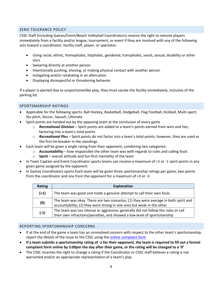# <span id="page-3-0"></span>ZERO TOLERANCE POLICY

CSSC Staff (including Games/Event/Beach Volleyball Coordinators) reserve the right to remove players immediately from a facility and/or league, tournament, or event if they are involved with any of the following acts toward a coordinator, facility staff, player, or spectator:

- Using racial, ethnic, homophobic, fatphobic, gendered, transphobic, sexist, sexual, disability or other slurs
- Swearing directly at another person
- Intentionally pushing, shoving, or making physical contact with another person
- Instigating and/or retaliating in an altercation
- Displaying disrespectful or threatening behavior

If a player is ejected due to unsportsmanlike play, they must vacate the facility immediately, inclusive of the parking lot.

# <span id="page-3-1"></span>SPORTSMANSHIP RATINGS

- Applicable for the following sports: Ball Hockey, Basketball, Dodgeball, Flag Football, Kickball, Multi-sport, Slo-pitch, Soccer, Squash, Ultimate
- Spirit points are handed out by the opposing team at the conclusion of every game
	- o *Recreational Division* Spirit points are added to a team's points earned from wins and ties, factoring into a team's total points
	- o *Recreational Plus*  Spirit points do not factor into a team's total points; however, they are used as the first tie-breaker in the standings
- Each team will be given a single rating from their opponent, combining two categories:
	- o **Accountability**  how responsible the other team was with regards to rules and calling fouls
	- o **Spirit** overall attitude and fun-first mentality of the team
- In Team Captain and Event Coordinator sports teams can receive a maximum of +1 or -1 spirit points in any given game assigned by the opponent
- In Games Coordinators sports Each team will be given three sportsmanship ratings per game; two points from the coordinator and one from the opponent for a maximum of +3 or -3

| <b>Rating</b> | <b>Explanation</b>                                                                                                                                             |
|---------------|----------------------------------------------------------------------------------------------------------------------------------------------------------------|
| $(+1)$        | The team was good and made a genuine attempt to call their own fouls                                                                                           |
| (0)           | The team was okay. There are two scenarios: (1) they were average in both spirit and<br>accountability; (2) they were strong in one area but weak in the other |
| $(-1)$        | The team was too intense or aggressive, generally did not follow the rules or call<br>their own infractions/penalties, and showed a low-level of sportsmanship |

### <span id="page-3-2"></span>REPORTING SPORTSMANSHIP CONCERNS

- If at the end of the game a team has an unresolved concern with respect to the other team's sportsmanship, report the details of the issue to the CSSC using th[e online complaint form](https://www.calgarysportsclub.com/forms/sportsmanship)
- **If a team submits a sportsmanship rating of -1 for their opponent, the team is required to fill out a formal complaint form online by 5:00pm the day after their game, or the rating will be changed to a '0'**
- The CSSC reserves the right to change a rating if the Coordinator or CSSC staff believes a rating is not warranted and/or an appropriate representation of a team's play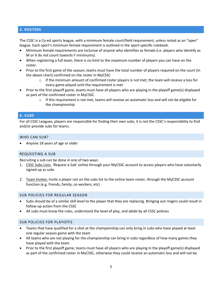# <span id="page-4-0"></span>**3. ROSTERS**

The CSSC is a Co-ed sports league, with a minimum female court/field requirement, unless noted as an "open" league. Each sport's minimum female requirement is outlined in the sport-specific rulebook.

- Minimum female requirements are inclusive of anyone who identifies as female (i.e. players who identify as M or X do not count towards F minimums).
- When registering a full team, there is no limit to the maximum number of players you can have on the roster.
- Prior to the first game of the season, teams must have the total number of players required on the court (in the above chart) confirmed on the roster in MyCSSC
	- $\circ$  If the minimum amount of confirmed roster players is not met, the team will receive a loss for every game played until the requirement is met
- Prior to the first playoff game, teams must have all players who are playing in the playoff game(s) displayed as part of the confirmed roster in MyCSSC.
	- $\circ$  If this requirement is not met, teams will receive an automatic loss and will not be eligible for the championship

### <span id="page-4-1"></span>**4. SUBS**

For all CSSC Leagues, players are responsible for finding their own subs, it is not the CSSC's responsibility to find and/or provide subs for teams.

### <span id="page-4-2"></span>WHO CAN SUB?

• Anyone 18 years of age or older

### <span id="page-4-3"></span>REQUESTING A SUB

Recruiting a sub can be done in one of two ways:

- 1. CSSC Subs Lists: *'Request a Sub'* online through your MyCSSC account to access players who have voluntarily signed up as subs
- 2. Team Invites: Invite a player not on the subs list to the online team roster, through the MyCSSC account function (e.g. friends, family, co-workers, etc)

### <span id="page-4-4"></span>SUB POLICIES FOR REGULAR SEASON

- Subs should be of a similar skill level to the player that they are replacing. Bringing out ringers could result in follow-up action from the CSSC
- All subs must know the rules, understand the level of play, and abide by all CSSC policies

### <span id="page-4-5"></span>SUB POLICIES FOR PLAYOFFS

- Teams that have qualified for a shot at the championship can only bring in subs who have played at least one regular season game with the team
- All teams who are not playing for the championship can bring in subs regardless of how many games they have played with the team
- Prior to the first playoff game, teams must have all players who are playing in the playoff game(s) displayed as part of the confirmed roster in MyCSSC, otherwise they could receive an automatic loss and will not be